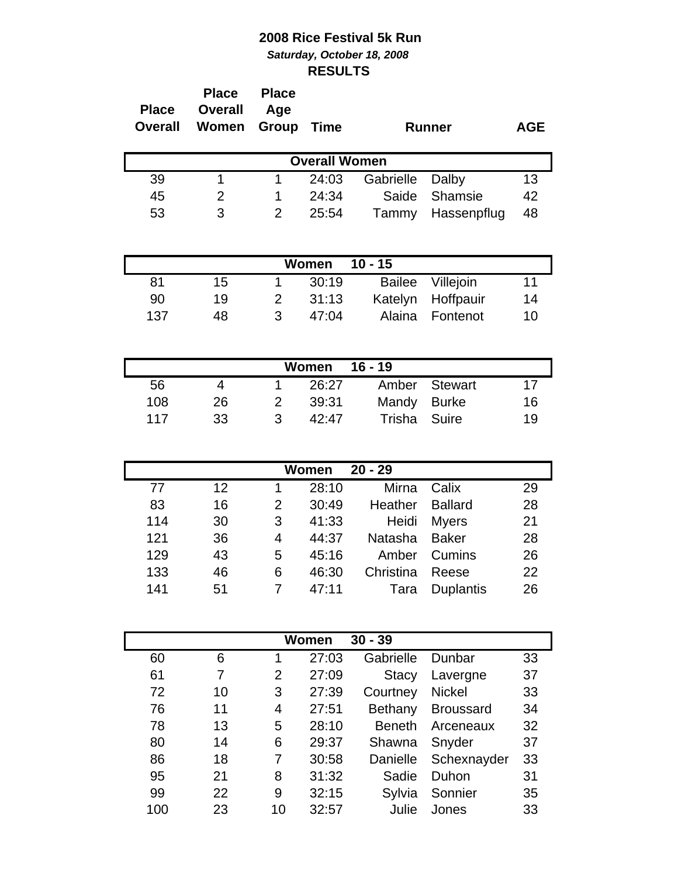## **2008 Rice Festival 5k Run** *Saturday, October 18, 2008* **RESULTS**

| <b>Place</b><br>Overall | <b>Place</b><br><b>Overall</b><br>Women | <b>Place</b><br>Age<br>Group | <b>Time</b>          |           | <b>Runner</b> | <b>AGE</b> |
|-------------------------|-----------------------------------------|------------------------------|----------------------|-----------|---------------|------------|
|                         |                                         |                              | <b>Overall Women</b> |           |               |            |
| 39                      | 1                                       |                              | 24:03                | Gabrielle | Dalby         | 13         |
| 45                      | 2                                       |                              | 24:34                | Saide     | Shamsie       | 42         |
| 53                      | 3                                       |                              | 25:54                | Tammy     | Hassenpflug   | 48         |

| Women 10 - 15 |    |               |       |  |                   |    |  |  |
|---------------|----|---------------|-------|--|-------------------|----|--|--|
| 81            | 15 |               | 30:19 |  | Bailee Villejoin  | 11 |  |  |
| 90            | 19 | $\mathcal{P}$ | 31:13 |  | Katelyn Hoffpauir | 14 |  |  |
| 137           | 48 | 2             | 47:04 |  | Alaina Fontenot   | 10 |  |  |

| Women<br>16 - 19 |    |   |       |              |               |    |  |  |  |
|------------------|----|---|-------|--------------|---------------|----|--|--|--|
| 56               |    |   | 26:27 |              | Amber Stewart | 17 |  |  |  |
| 108              | 26 | 2 | 39:31 | Mandy Burke  |               | 16 |  |  |  |
| 117              | 33 | ર | 42:47 | Trisha Suire |               | 19 |  |  |  |

| $20 - 29$<br>Women |    |   |       |           |                  |    |  |  |  |
|--------------------|----|---|-------|-----------|------------------|----|--|--|--|
| 77                 | 12 |   | 28:10 | Mirna     | Calix            | 29 |  |  |  |
| 83                 | 16 | 2 | 30:49 | Heather   | <b>Ballard</b>   | 28 |  |  |  |
| 114                | 30 | 3 | 41:33 | Heidi     | Myers            | 21 |  |  |  |
| 121                | 36 | 4 | 44:37 | Natasha   | <b>Baker</b>     | 28 |  |  |  |
| 129                | 43 | 5 | 45:16 | Amber     | Cumins           | 26 |  |  |  |
| 133                | 46 | 6 | 46:30 | Christina | Reese            | 22 |  |  |  |
| 141                | 51 |   | 47:11 | Tara      | <b>Duplantis</b> | 26 |  |  |  |

| $30 - 39$<br>Women |    |    |       |               |                  |    |  |  |  |
|--------------------|----|----|-------|---------------|------------------|----|--|--|--|
| 60                 | 6  |    | 27:03 | Gabrielle     | Dunbar           | 33 |  |  |  |
| 61                 |    | 2  | 27:09 | <b>Stacy</b>  | Lavergne         | 37 |  |  |  |
| 72                 | 10 | 3  | 27:39 | Courtney      | <b>Nickel</b>    | 33 |  |  |  |
| 76                 | 11 | 4  | 27:51 | Bethany       | <b>Broussard</b> | 34 |  |  |  |
| 78                 | 13 | 5  | 28:10 | <b>Beneth</b> | Arceneaux        | 32 |  |  |  |
| 80                 | 14 | 6  | 29:37 | Shawna        | Snyder           | 37 |  |  |  |
| 86                 | 18 | 7  | 30:58 | Danielle      | Schexnayder      | 33 |  |  |  |
| 95                 | 21 | 8  | 31:32 | Sadie         | Duhon            | 31 |  |  |  |
| 99                 | 22 | 9  | 32:15 | Sylvia        | Sonnier          | 35 |  |  |  |
| 100                | 23 | 10 | 32:57 | Julie         | Jones            | 33 |  |  |  |